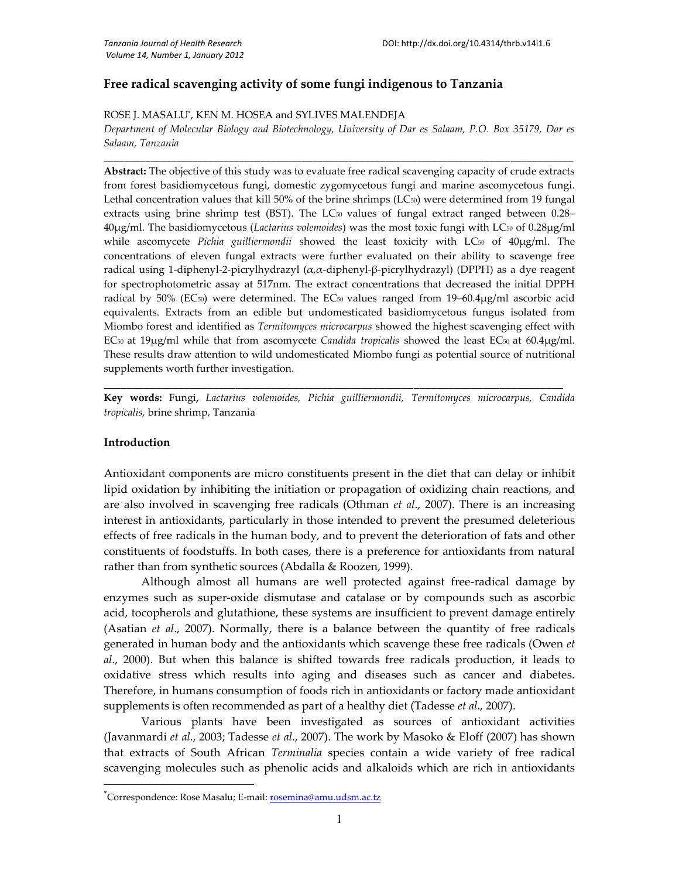# **Free radical scavenging activity of some fungi indigenous to Tanzania**

ROSE J. MASALU\* , KEN M. HOSEA and SYLIVES MALENDEJA

*Department of Molecular Biology and Biotechnology, University of Dar es Salaam, P.O. Box 35179, Dar es Salaam, Tanzania* \_\_\_\_\_\_\_\_\_\_\_\_\_\_\_\_\_\_\_\_\_\_\_\_\_\_\_\_\_\_\_\_\_\_\_\_\_\_\_\_\_\_\_\_\_\_\_\_\_\_\_\_\_\_\_\_\_\_\_\_\_\_\_\_\_\_\_\_\_\_\_\_\_\_\_\_\_\_\_\_\_\_\_\_\_\_\_\_\_\_

**Abstract:** The objective of this study was to evaluate free radical scavenging capacity of crude extracts from forest basidiomycetous fungi, domestic zygomycetous fungi and marine ascomycetous fungi. Lethal concentration values that kill 50% of the brine shrimps ( $LC_{50}$ ) were determined from 19 fungal extracts using brine shrimp test (BST). The LC<sub>50</sub> values of fungal extract ranged between 0.28– 40µg/ml. The basidiomycetous (*Lactarius volemoides*) was the most toxic fungi with LC<sup>50</sup> of 0.28µg/ml while ascomycete *Pichia guilliermondii* showed the least toxicity with LC<sub>50</sub> of 40µg/ml. The concentrations of eleven fungal extracts were further evaluated on their ability to scavenge free radical using 1-diphenyl-2-picrylhydrazyl (α,α-diphenyl-β-picrylhydrazyl) (DPPH) as a dye reagent for spectrophotometric assay at 517nm. The extract concentrations that decreased the initial DPPH radical by 50% (EC<sub>50</sub>) were determined. The EC<sub>50</sub> values ranged from 19–60.4µg/ml ascorbic acid equivalents. Extracts from an edible but undomesticated basidiomycetous fungus isolated from Miombo forest and identified as *Termitomyces microcarpus* showed the highest scavenging effect with EC<sup>50</sup> at 19µg/ml while that from ascomycete *Candida tropicalis* showed the least EC<sup>50</sup> at 60.4µg/ml. These results draw attention to wild undomesticated Miombo fungi as potential source of nutritional supplements worth further investigation.

**Key words:** Fungi**,** *Lactarius volemoides, Pichia guilliermondii, Termitomyces microcarpus, Candida tropicalis,* brine shrimp, Tanzania

**\_\_\_\_\_\_\_\_\_\_\_\_\_\_\_\_\_\_\_\_\_\_\_\_\_\_\_\_\_\_\_\_\_\_\_\_\_\_\_\_\_\_\_\_\_\_\_\_\_\_\_\_\_\_\_\_\_\_\_\_\_\_\_\_\_\_\_\_\_\_\_\_\_\_\_\_\_\_\_\_**

#### **Introduction**

Antioxidant components are micro constituents present in the diet that can delay or inhibit lipid oxidation by inhibiting the initiation or propagation of oxidizing chain reactions, and are also involved in scavenging free radicals (Othman *et al*., 2007). There is an increasing interest in antioxidants, particularly in those intended to prevent the presumed deleterious effects of free radicals in the human body, and to prevent the deterioration of fats and other constituents of foodstuffs. In both cases, there is a preference for antioxidants from natural rather than from synthetic sources (Abdalla & Roozen, 1999).

Although almost all humans are well protected against free-radical damage by enzymes such as super-oxide dismutase and catalase or by compounds such as ascorbic acid, tocopherols and glutathione, these systems are insufficient to prevent damage entirely (Asatian *et al*., 2007). Normally, there is a balance between the quantity of free radicals generated in human body and the antioxidants which scavenge these free radicals (Owen *et al*., 2000). But when this balance is shifted towards free radicals production, it leads to oxidative stress which results into aging and diseases such as cancer and diabetes. Therefore, in humans consumption of foods rich in antioxidants or factory made antioxidant supplements is often recommended as part of a healthy diet (Tadesse *et al*., 2007).

Various plants have been investigated as sources of antioxidant activities (Javanmardi *et al*., 2003; Tadesse *et al*., 2007). The work by Masoko & Eloff (2007) has shown that extracts of South African *Terminalia* species contain a wide variety of free radical scavenging molecules such as phenolic acids and alkaloids which are rich in antioxidants

 $\rm ^*Correspondence: Rose Masalu; E-mail: \underline{rosemina@amu.udsm.ac.tz}$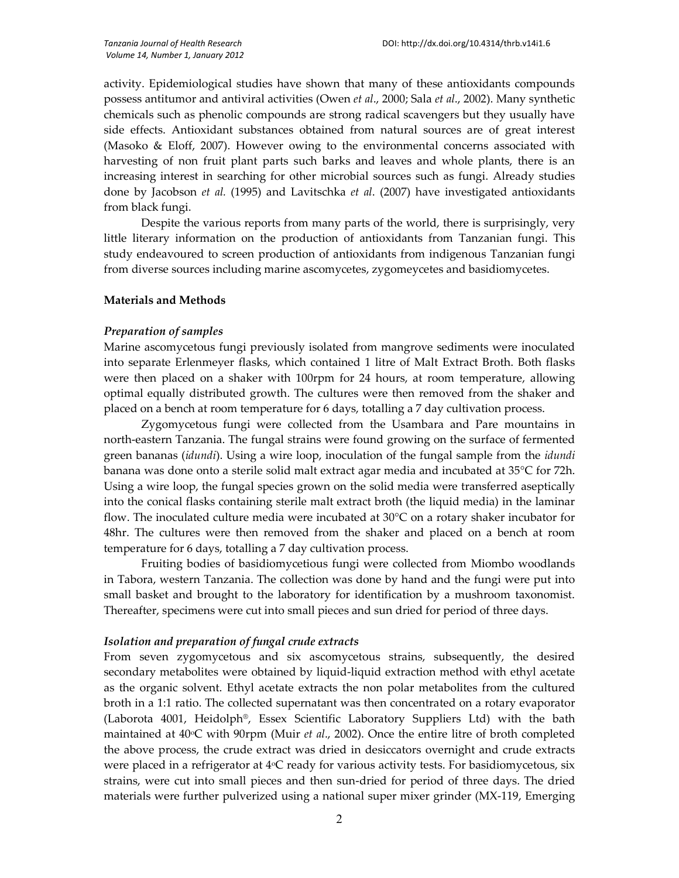activity. Epidemiological studies have shown that many of these antioxidants compounds possess antitumor and antiviral activities (Owen *et al*., 2000; Sala *et al*., 2002). Many synthetic chemicals such as phenolic compounds are strong radical scavengers but they usually have side effects. Antioxidant substances obtained from natural sources are of great interest (Masoko & Eloff, 2007). However owing to the environmental concerns associated with harvesting of non fruit plant parts such barks and leaves and whole plants, there is an increasing interest in searching for other microbial sources such as fungi. Already studies done by Jacobson *et al.* (1995) and Lavitschka *et al*. (2007) have investigated antioxidants from black fungi.

Despite the various reports from many parts of the world, there is surprisingly, very little literary information on the production of antioxidants from Tanzanian fungi. This study endeavoured to screen production of antioxidants from indigenous Tanzanian fungi from diverse sources including marine ascomycetes, zygomeycetes and basidiomycetes.

### **Materials and Methods**

### *Preparation of samples*

Marine ascomycetous fungi previously isolated from mangrove sediments were inoculated into separate Erlenmeyer flasks, which contained 1 litre of Malt Extract Broth. Both flasks were then placed on a shaker with 100rpm for 24 hours, at room temperature, allowing optimal equally distributed growth. The cultures were then removed from the shaker and placed on a bench at room temperature for 6 days, totalling a 7 day cultivation process.

Zygomycetous fungi were collected from the Usambara and Pare mountains in north-eastern Tanzania. The fungal strains were found growing on the surface of fermented green bananas (*idundi*). Using a wire loop, inoculation of the fungal sample from the *idundi* banana was done onto a sterile solid malt extract agar media and incubated at 35°C for 72h. Using a wire loop, the fungal species grown on the solid media were transferred aseptically into the conical flasks containing sterile malt extract broth (the liquid media) in the laminar flow. The inoculated culture media were incubated at 30°C on a rotary shaker incubator for 48hr. The cultures were then removed from the shaker and placed on a bench at room temperature for 6 days, totalling a 7 day cultivation process.

Fruiting bodies of basidiomycetious fungi were collected from Miombo woodlands in Tabora, western Tanzania. The collection was done by hand and the fungi were put into small basket and brought to the laboratory for identification by a mushroom taxonomist. Thereafter, specimens were cut into small pieces and sun dried for period of three days.

#### *Isolation and preparation of fungal crude extracts*

From seven zygomycetous and six ascomycetous strains, subsequently, the desired secondary metabolites were obtained by liquid-liquid extraction method with ethyl acetate as the organic solvent. Ethyl acetate extracts the non polar metabolites from the cultured broth in a 1:1 ratio. The collected supernatant was then concentrated on a rotary evaporator (Laborota 4001, Heidolph®, Essex Scientific Laboratory Suppliers Ltd) with the bath maintained at 40<sup>o</sup>C with 90rpm (Muir *et al.*, 2002). Once the entire litre of broth completed the above process, the crude extract was dried in desiccators overnight and crude extracts were placed in a refrigerator at  $4^{\circ}C$  ready for various activity tests. For basidiomycetous, six strains, were cut into small pieces and then sun-dried for period of three days. The dried materials were further pulverized using a national super mixer grinder (MX-119, Emerging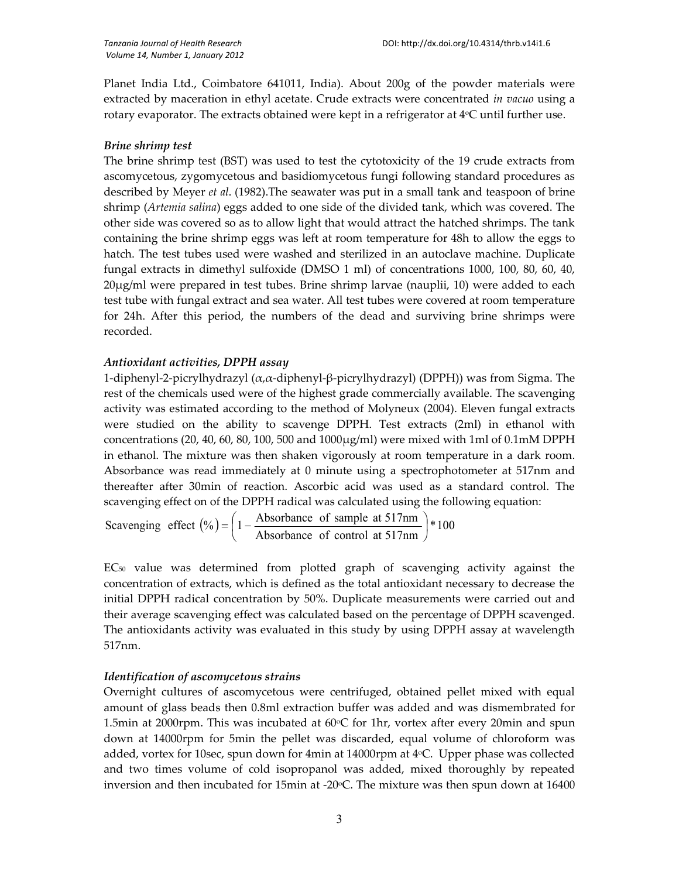Planet India Ltd., Coimbatore 641011, India). About 200g of the powder materials were extracted by maceration in ethyl acetate. Crude extracts were concentrated *in vacuo* using a rotary evaporator. The extracts obtained were kept in a refrigerator at  $4\textdegree C$  until further use.

## *Brine shrimp test*

The brine shrimp test (BST) was used to test the cytotoxicity of the 19 crude extracts from ascomycetous, zygomycetous and basidiomycetous fungi following standard procedures as described by Meyer *et al*. (1982).The seawater was put in a small tank and teaspoon of brine shrimp (*Artemia salina*) eggs added to one side of the divided tank, which was covered. The other side was covered so as to allow light that would attract the hatched shrimps. The tank containing the brine shrimp eggs was left at room temperature for 48h to allow the eggs to hatch. The test tubes used were washed and sterilized in an autoclave machine. Duplicate fungal extracts in dimethyl sulfoxide (DMSO 1 ml) of concentrations 1000, 100, 80, 60, 40, 20µg/ml were prepared in test tubes. Brine shrimp larvae (nauplii, 10) were added to each test tube with fungal extract and sea water. All test tubes were covered at room temperature for 24h. After this period, the numbers of the dead and surviving brine shrimps were recorded.

## *Antioxidant activities, DPPH assay*

1-diphenyl-2-picrylhydrazyl (α,α-diphenyl-β-picrylhydrazyl) (DPPH)) was from Sigma. The rest of the chemicals used were of the highest grade commercially available. The scavenging activity was estimated according to the method of Molyneux (2004). Eleven fungal extracts were studied on the ability to scavenge DPPH. Test extracts (2ml) in ethanol with concentrations (20, 40, 60, 80, 100, 500 and  $1000\mu\text{g/ml}$ ) were mixed with 1ml of 0.1mM DPPH in ethanol. The mixture was then shaken vigorously at room temperature in a dark room. Absorbance was read immediately at 0 minute using a spectrophotometer at 517nm and thereafter after 30min of reaction. Ascorbic acid was used as a standard control. The scavenging effect on of the DPPH radical was calculated using the following equation:

 $\left(\frac{\%}{0}\right) = \left|1 - \frac{1}{100}\right| \left|1 - \frac{1}{100}\right| \left|1 - \frac{1}{100}\right| \left|1 - \frac{1}{100}\right| \left|1 - \frac{1}{100}\right| \left|1 - \frac{1}{100}\right| \left|1 - \frac{1}{100}\right| \left|1 - \frac{1}{100}\right| \left|1 - \frac{1}{100}\right| \left|1 - \frac{1}{100}\right| \left|1 - \frac{1}{100}\right| \left|1 - \frac{1}{100}\right| \left|1 - \frac{1}{100}\right|$ Absorbance of control at 517nm Scavenging effect  $(\% ) = \left( 1 - \frac{\text{Absorbance of sample at } 517 \text{nm}}{11 - \frac{\text{Absorbance of sample at } 517 \text{nm}}{11 - \text{Supance of sample at } 517 \text{nm}} \right)$ J  $\left(1-\frac{\text{Absorbance of sample at }517\text{nm}}{1-\frac{1}{2}}\right)$  $\setminus$  $=\left(1-\right)$ 

 $EC<sub>50</sub>$  value was determined from plotted graph of scavenging activity against the concentration of extracts, which is defined as the total antioxidant necessary to decrease the initial DPPH radical concentration by 50%. Duplicate measurements were carried out and their average scavenging effect was calculated based on the percentage of DPPH scavenged. The antioxidants activity was evaluated in this study by using DPPH assay at wavelength 517nm.

# *Identification of ascomycetous strains*

Overnight cultures of ascomycetous were centrifuged, obtained pellet mixed with equal amount of glass beads then 0.8ml extraction buffer was added and was dismembrated for 1.5min at 2000rpm. This was incubated at  $60^{\circ}$ C for 1hr, vortex after every 20min and spun down at 14000rpm for 5min the pellet was discarded, equal volume of chloroform was added, vortex for 10sec, spun down for 4min at 14000rpm at  $4^{\circ}$ C. Upper phase was collected and two times volume of cold isopropanol was added, mixed thoroughly by repeated inversion and then incubated for 15min at -20°C. The mixture was then spun down at 16400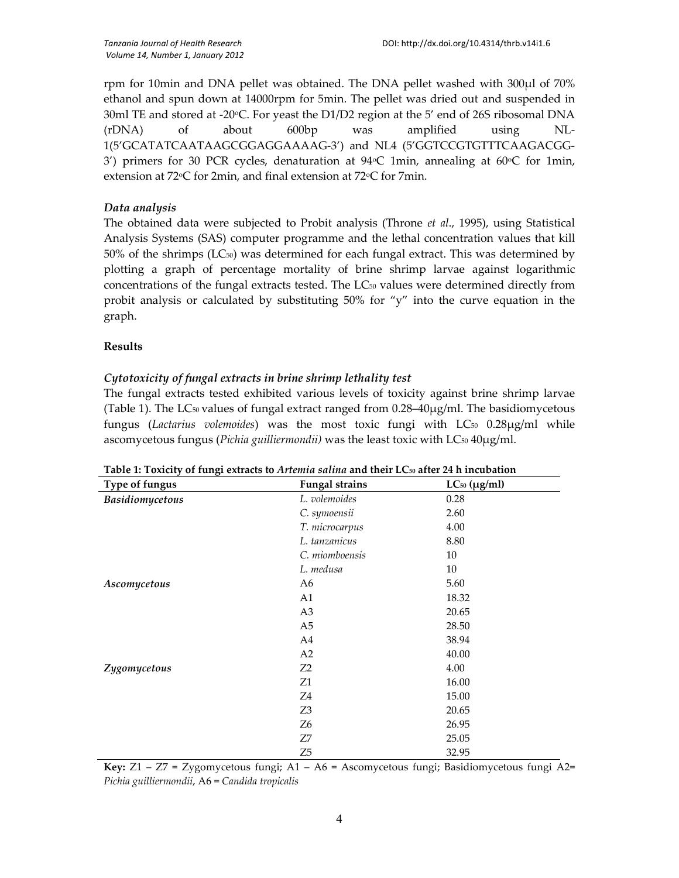rpm for 10min and DNA pellet was obtained. The DNA pellet washed with 300µl of 70% ethanol and spun down at 14000rpm for 5min. The pellet was dried out and suspended in 30ml TE and stored at -20 $\degree$ C. For yeast the D1/D2 region at the 5' end of 26S ribosomal DNA (rDNA) of about 600bp was amplified using NL-1(5'GCATATCAATAAGCGGAGGAAAAG-3') and NL4 (5'GGTCCGTGTTTCAAGACGG-3') primers for 30 PCR cycles, denaturation at 94 $\degree$ C 1min, annealing at 60 $\degree$ C for 1min, extension at  $72^{\circ}$ C for 2min, and final extension at  $72^{\circ}$ C for 7min.

## *Data analysis*

The obtained data were subjected to Probit analysis (Throne *et al*., 1995), using Statistical Analysis Systems (SAS) computer programme and the lethal concentration values that kill  $50\%$  of the shrimps (LC $_{50}$ ) was determined for each fungal extract. This was determined by plotting a graph of percentage mortality of brine shrimp larvae against logarithmic concentrations of the fungal extracts tested. The LC<sup>50</sup> values were determined directly from probit analysis or calculated by substituting  $50\%$  for "y" into the curve equation in the graph.

## **Results**

## *Cytotoxicity of fungal extracts in brine shrimp lethality test*

The fungal extracts tested exhibited various levels of toxicity against brine shrimp larvae (Table 1). The LC<sub>50</sub> values of fungal extract ranged from  $0.28-40\mu g/ml$ . The basidiomycetous fungus (*Lactarius volemoides*) was the most toxic fungi with LC<sup>50</sup> 0.28µg/ml while ascomycetous fungus (*Pichia guilliermondii*) was the least toxic with LC<sub>50</sub> 40µg/ml.

| ō<br>Type of fungus    | <b>Fungal strains</b> | $LC_{50}$ ( $\mu$ g/ml) |  |
|------------------------|-----------------------|-------------------------|--|
| <b>Basidiomycetous</b> | L. volemoides         | 0.28                    |  |
|                        | C. symoensii          | 2.60                    |  |
|                        | T. microcarpus        | 4.00                    |  |
|                        | L. tanzanicus         | 8.80                    |  |
|                        | C. miomboensis        | 10                      |  |
|                        | L. medusa             | 10                      |  |
| Ascomycetous           | A6                    | 5.60                    |  |
|                        | A1                    | 18.32                   |  |
|                        | A <sub>3</sub>        | 20.65                   |  |
|                        | A <sub>5</sub>        | 28.50                   |  |
|                        | A4                    | 38.94                   |  |
|                        | A2                    | 40.00                   |  |
| Zygomycetous           | Z <sub>2</sub>        | 4.00                    |  |
|                        | Z1                    | 16.00                   |  |
|                        | Z4                    | 15.00                   |  |
|                        | Z <sub>3</sub>        | 20.65                   |  |
|                        | Z6                    | 26.95                   |  |
|                        | Z7                    | 25.05                   |  |
|                        | Z <sub>5</sub>        | 32.95                   |  |

**Key:** Z1 – Z7 = Zygomycetous fungi; A1 – A6 = Ascomycetous fungi; Basidiomycetous fungi A2= *Pichia guilliermondii*, A6 = *Candida tropicalis*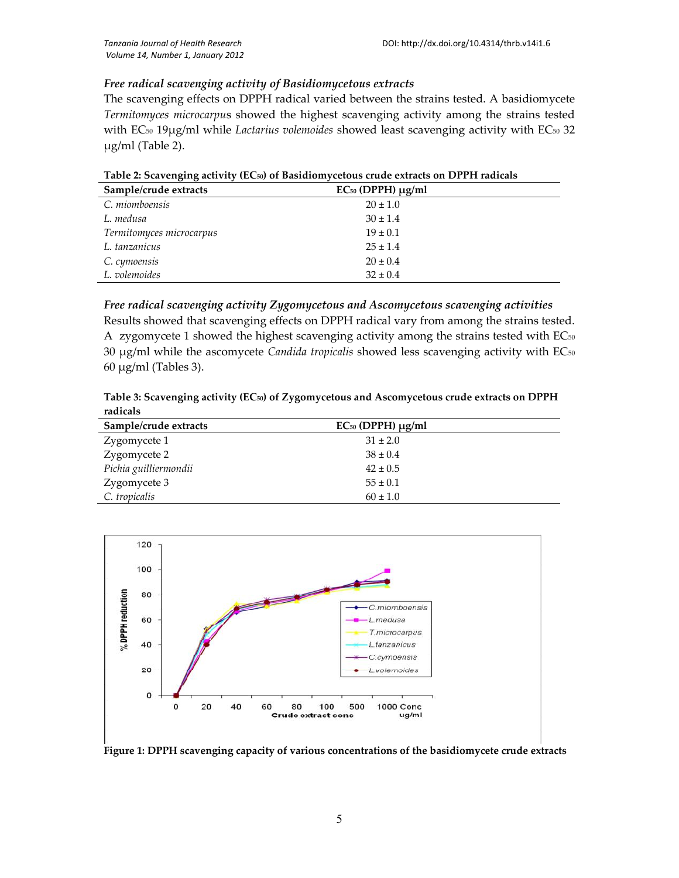### *Free radical scavenging activity of Basidiomycetous extracts*

The scavenging effects on DPPH radical varied between the strains tested. A basidiomycete *Termitomyces microcarpu*s showed the highest scavenging activity among the strains tested with EC<sub>50</sub> 19µg/ml while *Lactarius volemoides* showed least scavenging activity with EC<sub>50</sub> 32 µg/ml (Table 2).

| Sample/crude extracts    | $EC50$ (DPPH) $\mu$ g/ml |
|--------------------------|--------------------------|
| C. miomboensis           | $20 \pm 1.0$             |
| L. medusa                | $30 \pm 1.4$             |
| Termitomyces microcarpus | $19 \pm 0.1$             |
| L. tanzanicus            | $25 \pm 1.4$             |
| C. cymoensis             | $20 \pm 0.4$             |
| L. volemoides            | $32 \pm 0.4$             |

**Table 2: Scavenging activity (EC50) of Basidiomycetous crude extracts on DPPH radicals**

#### *Free radical scavenging activity Zygomycetous and Ascomycetous scavenging activities*

Results showed that scavenging effects on DPPH radical vary from among the strains tested. A zygomycete 1 showed the highest scavenging activity among the strains tested with  $EC_{50}$ 30 µg/ml while the ascomycete *Candida tropicalis* showed less scavenging activity with EC<sup>50</sup> 60 µg/ml (Tables 3).

**Table 3: Scavenging activity (EC50) of Zygomycetous and Ascomycetous crude extracts on DPPH radicals**

| Sample/crude extracts | $EC50$ (DPPH) $\mu$ g/ml |
|-----------------------|--------------------------|
| Zygomycete 1          | $31 \pm 2.0$             |
| Zygomycete 2          | $38 \pm 0.4$             |
| Pichia guilliermondii | $42 \pm 0.5$             |
| Zygomycete 3          | $55 \pm 0.1$             |
| C. tropicalis         | $60 \pm 1.0$             |



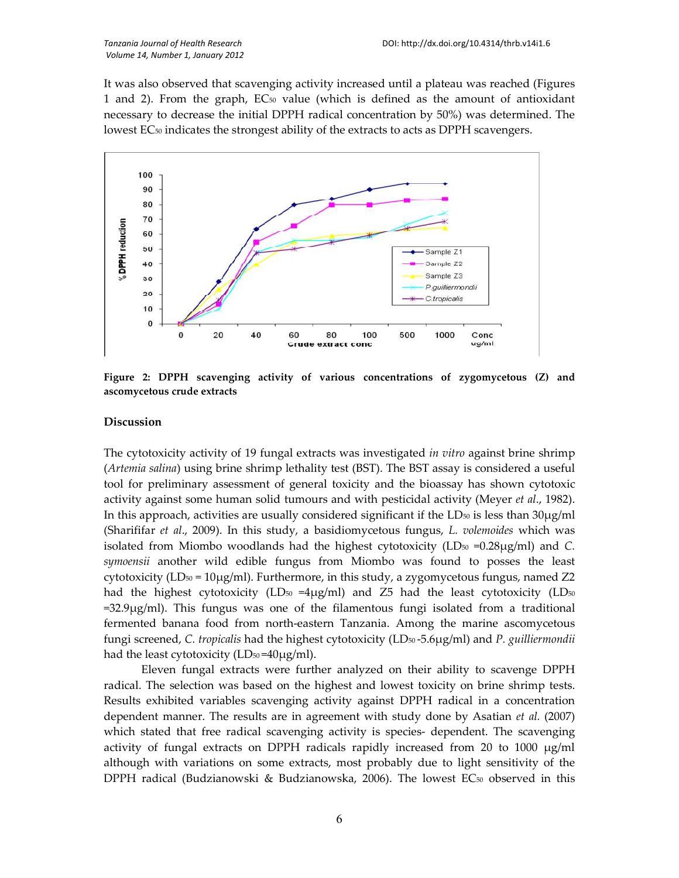It was also observed that scavenging activity increased until a plateau was reached (Figures 1 and 2). From the graph,  $EC_{50}$  value (which is defined as the amount of antioxidant necessary to decrease the initial DPPH radical concentration by 50%) was determined. The lowest EC<sub>50</sub> indicates the strongest ability of the extracts to acts as DPPH scavengers.



**Figure 2: DPPH scavenging activity of various concentrations of zygomycetous (Z) and ascomycetous crude extracts**

#### **Discussion**

The cytotoxicity activity of 19 fungal extracts was investigated *in vitro* against brine shrimp (*Artemia salina*) using brine shrimp lethality test (BST). The BST assay is considered a useful tool for preliminary assessment of general toxicity and the bioassay has shown cytotoxic activity against some human solid tumours and with pesticidal activity (Meyer *et al*., 1982). In this approach, activities are usually considered significant if the  $LD_{50}$  is less than  $30\mu$ g/ml (Sharififar *et al*., 2009). In this study, a basidiomycetous fungus, *L. volemoides* which was isolated from Miombo woodlands had the highest cytotoxicity  $(LD_{50} = 0.28\mu g/ml)$  and *C*. *symoensii* another wild edible fungus from Miombo was found to posses the least cytotoxicity (LD<sub>50</sub> = 10 $\mu$ g/ml). Furthermore, in this study, a zygomycetous fungus, named Z2 had the highest cytotoxicity (LD<sub>50</sub> =4 $\mu$ g/ml) and Z5 had the least cytotoxicity (LD<sub>50</sub> =32.9µg/ml). This fungus was one of the filamentous fungi isolated from a traditional fermented banana food from north-eastern Tanzania. Among the marine ascomycetous fungi screened, *C. tropicalis* had the highest cytotoxicity (LD<sup>50</sup> -5.6µg/ml) and *P. guilliermondii* had the least cytotoxicity  $(LD_{50} = 40\mu g/ml)$ .

Eleven fungal extracts were further analyzed on their ability to scavenge DPPH radical. The selection was based on the highest and lowest toxicity on brine shrimp tests. Results exhibited variables scavenging activity against DPPH radical in a concentration dependent manner. The results are in agreement with study done by Asatian *et al.* (2007) which stated that free radical scavenging activity is species- dependent. The scavenging activity of fungal extracts on DPPH radicals rapidly increased from 20 to 1000  $\mu$ g/ml although with variations on some extracts, most probably due to light sensitivity of the DPPH radical (Budzianowski & Budzianowska, 2006). The lowest EC<sub>50</sub> observed in this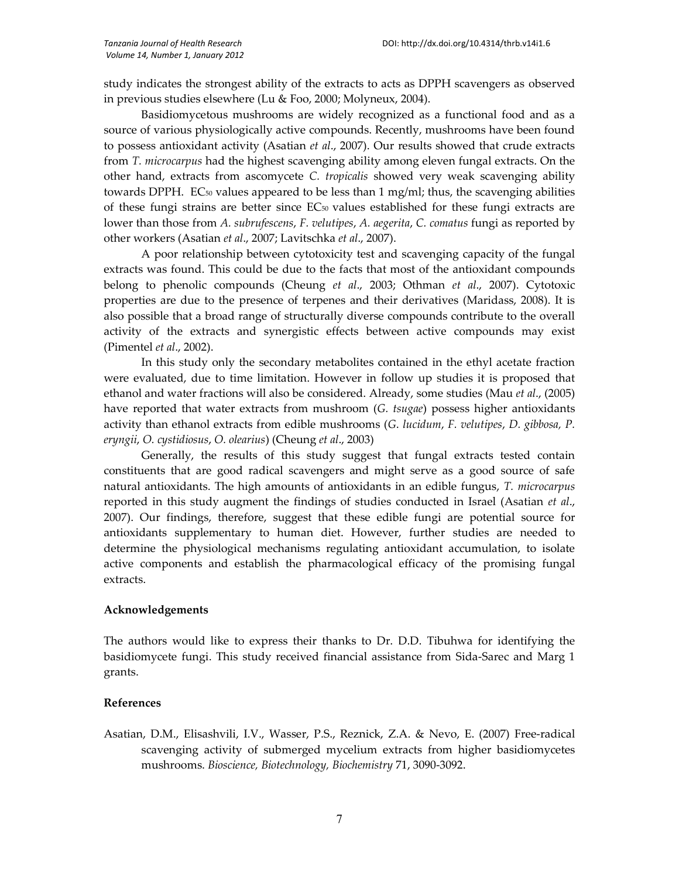study indicates the strongest ability of the extracts to acts as DPPH scavengers as observed in previous studies elsewhere (Lu & Foo, 2000; Molyneux, 2004).

Basidiomycetous mushrooms are widely recognized as a functional food and as a source of various physiologically active compounds. Recently, mushrooms have been found to possess antioxidant activity (Asatian *et al*., 2007). Our results showed that crude extracts from *T. microcarpus* had the highest scavenging ability among eleven fungal extracts. On the other hand, extracts from ascomycete *C. tropicalis* showed very weak scavenging ability towards DPPH. EC<sub>50</sub> values appeared to be less than  $1 \text{ mg/ml}$ ; thus, the scavenging abilities of these fungi strains are better since EC<sup>50</sup> values established for these fungi extracts are lower than those from *A. subrufescens*, *F. velutipes*, *A. aegerita*, *C. comatus* fungi as reported by other workers (Asatian *et al*., 2007; Lavitschka *et al*., 2007).

A poor relationship between cytotoxicity test and scavenging capacity of the fungal extracts was found. This could be due to the facts that most of the antioxidant compounds belong to phenolic compounds (Cheung *et al*., 2003; Othman *et al*., 2007). Cytotoxic properties are due to the presence of terpenes and their derivatives (Maridass, 2008). It is also possible that a broad range of structurally diverse compounds contribute to the overall activity of the extracts and synergistic effects between active compounds may exist (Pimentel *et al*., 2002).

In this study only the secondary metabolites contained in the ethyl acetate fraction were evaluated, due to time limitation. However in follow up studies it is proposed that ethanol and water fractions will also be considered. Already, some studies (Mau *et al*., (2005) have reported that water extracts from mushroom (*G. tsugae*) possess higher antioxidants activity than ethanol extracts from edible mushrooms (*G*. *lucidum*, *F. velutipes*, *D. gibbosa, P. eryngii*, *O. cystidiosus*, *O. olearius*) (Cheung *et al*., 2003)

Generally, the results of this study suggest that fungal extracts tested contain constituents that are good radical scavengers and might serve as a good source of safe natural antioxidants. The high amounts of antioxidants in an edible fungus, *T. microcarpus* reported in this study augment the findings of studies conducted in Israel (Asatian *et al*., 2007). Our findings, therefore, suggest that these edible fungi are potential source for antioxidants supplementary to human diet. However, further studies are needed to determine the physiological mechanisms regulating antioxidant accumulation, to isolate active components and establish the pharmacological efficacy of the promising fungal extracts.

### **Acknowledgements**

The authors would like to express their thanks to Dr. D.D. Tibuhwa for identifying the basidiomycete fungi. This study received financial assistance from Sida-Sarec and Marg 1 grants.

#### **References**

Asatian, D.M., Elisashvili, I.V., Wasser, P.S., Reznick, Z.A. & Nevo, E. (2007) Free-radical scavenging activity of submerged mycelium extracts from higher basidiomycetes mushrooms. *Bioscience, Biotechnology, Biochemistry* 71, 3090-3092.